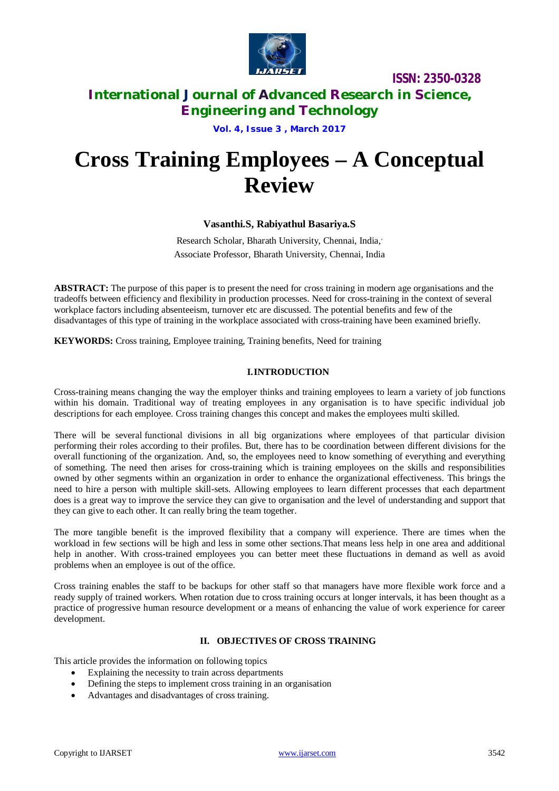

# **International Journal of Advanced Research in Science, Engineering and Technology**

**Vol. 4, Issue 3 , March 2017**

# **Cross Training Employees – A Conceptual Review**

# **Vasanthi.S, Rabiyathul Basariya.S**

Research Scholar, Bharath University, Chennai, India, *,* Associate Professor, Bharath University, Chennai, India

**ABSTRACT:** The purpose of this paper is to present the need for cross training in modern age organisations and the tradeoffs between efficiency and flexibility in production processes. Need for cross-training in the context of several workplace factors including absenteeism, turnover etc are discussed. The potential benefits and few of the disadvantages of this type of training in the workplace associated with cross-training have been examined briefly.

**KEYWORDS:** Cross training, Employee training, Training benefits, Need for training

## **I.INTRODUCTION**

Cross-training means changing the way the employer thinks and training employees to learn a variety of job functions within his domain. Traditional way of treating employees in any organisation is to have specific individual job descriptions for each employee. Cross training changes this concept and makes the employees multi skilled.

There will be several functional divisions in all big organizations where employees of that particular division performing their roles according to their profiles. But, there has to be coordination between different divisions for the overall functioning of the organization. And, so, the employees need to know something of everything and everything of something. The need then arises for cross-training which is training employees on the skills and responsibilities owned by other segments within an organization in order to enhance the organizational effectiveness. This brings the need to hire a person with multiple skill-sets. Allowing employees to learn different processes that each department does is a great way to improve the service they can give to organisation and the level of understanding and support that they can give to each other. It can really bring the team together.

The more tangible benefit is the improved flexibility that a company will experience. There are times when the workload in few sections will be high and less in some other sections.That means less help in one area and additional help in another. With cross-trained employees you can better meet these fluctuations in demand as well as avoid problems when an employee is out of the office.

Cross training enables the staff to be backups for other staff so that managers have more flexible work force and a ready supply of trained workers. When rotation due to cross training occurs at longer intervals, it has been thought as a practice of progressive human resource development or a means of enhancing the value of work experience for career development.

## **II. OBJECTIVES OF CROSS TRAINING**

This article provides the information on following topics

- Explaining the necessity to train across departments
- Defining the steps to implement cross training in an organisation
- Advantages and disadvantages of cross training.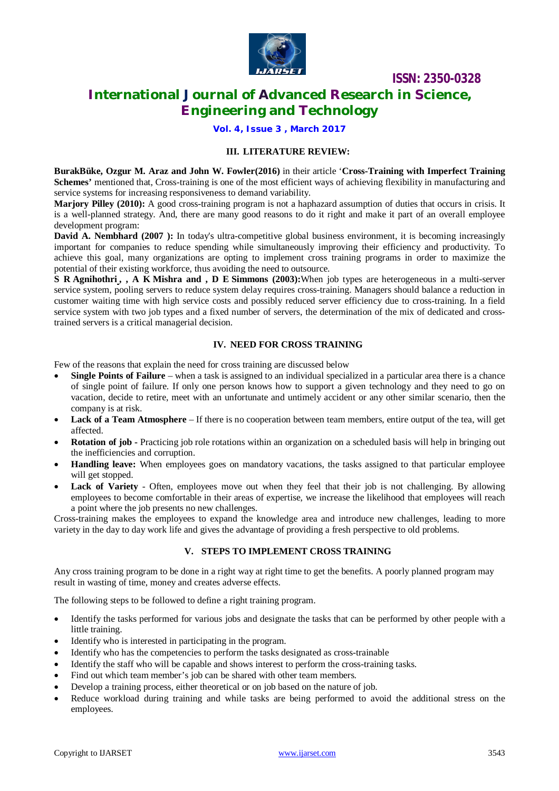

# **International Journal of Advanced Research in Science, Engineering and Technology**

**Vol. 4, Issue 3 , March 2017**

#### **III. LITERATURE REVIEW:**

**BurakBüke, Ozgur M. Araz and John W. Fowler(2016)** in their article '**Cross-Training with Imperfect Training Schemes'** mentioned that, Cross-training is one of the most efficient ways of achieving flexibility in manufacturing and service systems for increasing responsiveness to demand variability.

**Marjory Pilley (2010):** A good cross-training program is not a haphazard assumption of duties that occurs in crisis. It is a well-planned strategy. And, there are many good reasons to do it right and make it part of an overall employee development program:

**David A. Nembhard (2007 ):** In today's ultra-competitive global business environment, it is becoming increasingly important for companies to reduce spending while simultaneously improving their efficiency and productivity. To achieve this goal, many organizations are opting to implement cross training programs in order to maximize the potential of their existing workforce, thus avoiding the need to outsource.

**S R Agnihothr[i](mailto:agni@binghamton.edu) , , A K Mishra and , D E Simmons (2003):**When job types are heterogeneous in a multi-server service system, pooling servers to reduce system delay requires cross-training. Managers should balance a reduction in customer waiting time with high service costs and possibly reduced server efficiency due to cross-training. In a field service system with two job types and a fixed number of servers, the determination of the mix of dedicated and crosstrained servers is a critical managerial decision.

#### **IV. NEED FOR CROSS TRAINING**

Few of the reasons that explain the need for cross training are discussed below

- **Single Points of Failure** when a task is assigned to an individual specialized in a particular area there is a chance of single point of failure. If only one person knows how to support a given technology and they need to go on vacation, decide to retire, meet with an unfortunate and untimely accident or any other similar scenario, then the company is at risk.
- **Lack of a Team Atmosphere** If there is no cooperation between team members, entire output of the tea, will get affected.
- **Rotation of job -** Practicing job role rotations within an organization on a scheduled basis will help in bringing out the inefficiencies and corruption.
- **Handling leave:** When employees goes on mandatory vacations, the tasks assigned to that particular employee will get stopped.
- Lack of Variety Often, employees move out when they feel that their job is not challenging. By allowing employees to become comfortable in their areas of expertise, we increase the likelihood that employees will reach a point where the job presents no new challenges.

Cross-training makes the employees to expand the knowledge area and introduce new challenges, leading to more variety in the day to day work life and gives the advantage of providing a fresh perspective to old problems.

#### **V. STEPS TO IMPLEMENT CROSS TRAINING**

Any cross training program to be done in a right way at right time to get the benefits. A poorly planned program may result in wasting of time, money and creates adverse effects.

The following steps to be followed to define a right training program.

- Identify the tasks performed for various jobs and designate the tasks that can be performed by other people with a little training.
- Identify who is interested in participating in the program.
- Identify who has the competencies to perform the tasks designated as cross-trainable
- Identify the staff who will be capable and shows interest to perform the cross-training tasks.
- Find out which team member's job can be shared with other team members.
- Develop a training process, either theoretical or on job based on the nature of job.
- Reduce workload during training and while tasks are being performed to avoid the additional stress on the employees.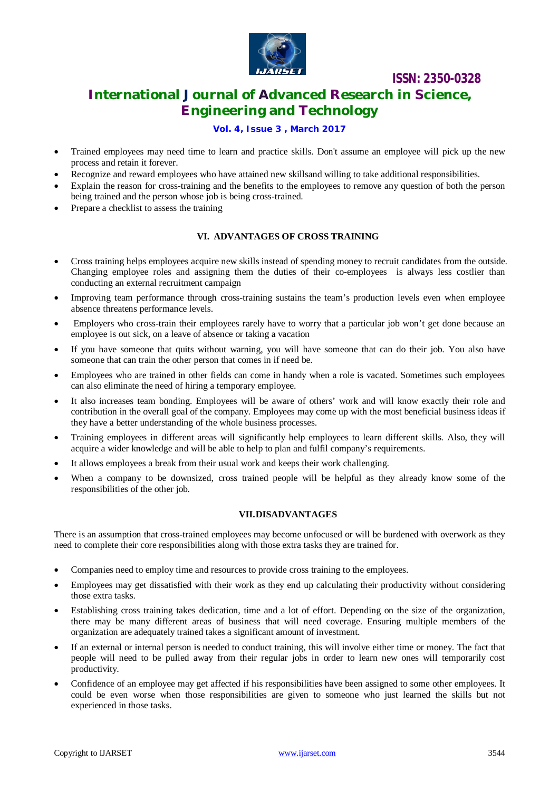

# **International Journal of Advanced Research in Science, Engineering and Technology**

## **Vol. 4, Issue 3 , March 2017**

- Trained employees may need time to learn and practice skills. Don't assume an employee will pick up the new process and retain it forever.
- Recognize and reward employees who have attained new skillsand willing to take additional responsibilities.
- Explain the reason for cross-training and the benefits to the employees to remove any question of both the person being trained and the person whose job is being cross-trained.
- Prepare a checklist to assess the training

## **VI. ADVANTAGES OF CROSS TRAINING**

- Cross training helps employees acquire new skills instead of spending money to recruit candidates from the outside. Changing employee roles and assigning them the duties of their co-employees is always less costlier than conducting an external recruitment campaign
- Improving team performance through cross-training sustains the team's production levels even when employee absence threatens performance levels.
- Employers who cross-train their employees rarely have to worry that a particular job won't get done because an employee is out sick, on a leave of absence or taking a vacation
- If you have someone that quits without warning, you will have someone that can do their job. You also have someone that can train the other person that comes in if need be.
- Employees who are trained in other fields can come in handy when a role is vacated. Sometimes such employees can also eliminate the need of hiring a temporary employee.
- It also increases team bonding. Employees will be aware of others' work and will know exactly their role and contribution in the overall goal of the company. Employees may come up with the most beneficial business ideas if they have a better understanding of the whole business processes.
- Training employees in different areas will significantly help employees to learn different skills. Also, they will acquire a wider knowledge and will be able to help to plan and fulfil company's requirements.
- It allows employees a break from their usual work and keeps their work challenging.
- When a company to be downsized, cross trained people will be helpful as they already know some of the responsibilities of the other job.

#### **VII.DISADVANTAGES**

There is an assumption that cross-trained employees may become unfocused or will be burdened with overwork as they need to complete their core responsibilities along with those extra tasks they are trained for.

- Companies need to employ time and resources to provide cross training to the employees.
- Employees may get dissatisfied with their work as they end up calculating their productivity without considering those extra tasks.
- Establishing cross training takes dedication, time and a lot of effort. Depending on the size of the organization, there may be many different areas of business that will need coverage. Ensuring multiple members of the organization are adequately trained takes a significant amount of investment.
- If an external or internal person is needed to conduct training, this will involve either time or money. The fact that people will need to be pulled away from their regular jobs in order to learn new ones will temporarily cost productivity.
- Confidence of an employee may get affected if his responsibilities have been assigned to some other employees. It could be even worse when those responsibilities are given to someone who just learned the skills but not experienced in those tasks.